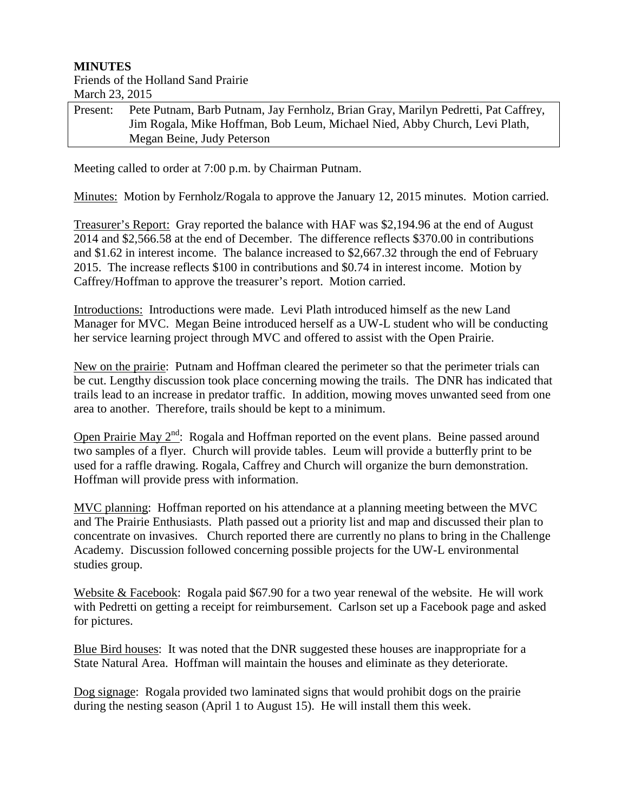## **MINUTES**

## Friends of the Holland Sand Prairie March 23, 2015

| Present: | Pete Putnam, Barb Putnam, Jay Fernholz, Brian Gray, Marilyn Pedretti, Pat Caffrey, |
|----------|------------------------------------------------------------------------------------|
|          | Jim Rogala, Mike Hoffman, Bob Leum, Michael Nied, Abby Church, Levi Plath,         |
|          | Megan Beine, Judy Peterson                                                         |

Meeting called to order at 7:00 p.m. by Chairman Putnam.

Minutes: Motion by Fernholz/Rogala to approve the January 12, 2015 minutes. Motion carried.

Treasurer's Report: Gray reported the balance with HAF was \$2,194.96 at the end of August 2014 and \$2,566.58 at the end of December. The difference reflects \$370.00 in contributions and \$1.62 in interest income. The balance increased to \$2,667.32 through the end of February 2015. The increase reflects \$100 in contributions and \$0.74 in interest income. Motion by Caffrey/Hoffman to approve the treasurer's report. Motion carried.

Introductions: Introductions were made. Levi Plath introduced himself as the new Land Manager for MVC. Megan Beine introduced herself as a UW-L student who will be conducting her service learning project through MVC and offered to assist with the Open Prairie.

New on the prairie: Putnam and Hoffman cleared the perimeter so that the perimeter trials can be cut. Lengthy discussion took place concerning mowing the trails. The DNR has indicated that trails lead to an increase in predator traffic. In addition, mowing moves unwanted seed from one area to another. Therefore, trails should be kept to a minimum.

Open Prairie May  $2^{nd}$ : Rogala and Hoffman reported on the event plans. Beine passed around two samples of a flyer. Church will provide tables. Leum will provide a butterfly print to be used for a raffle drawing. Rogala, Caffrey and Church will organize the burn demonstration. Hoffman will provide press with information.

MVC planning: Hoffman reported on his attendance at a planning meeting between the MVC and The Prairie Enthusiasts. Plath passed out a priority list and map and discussed their plan to concentrate on invasives. Church reported there are currently no plans to bring in the Challenge Academy. Discussion followed concerning possible projects for the UW-L environmental studies group.

Website & Facebook: Rogala paid \$67.90 for a two year renewal of the website. He will work with Pedretti on getting a receipt for reimbursement. Carlson set up a Facebook page and asked for pictures.

Blue Bird houses: It was noted that the DNR suggested these houses are inappropriate for a State Natural Area. Hoffman will maintain the houses and eliminate as they deteriorate.

Dog signage: Rogala provided two laminated signs that would prohibit dogs on the prairie during the nesting season (April 1 to August 15). He will install them this week.